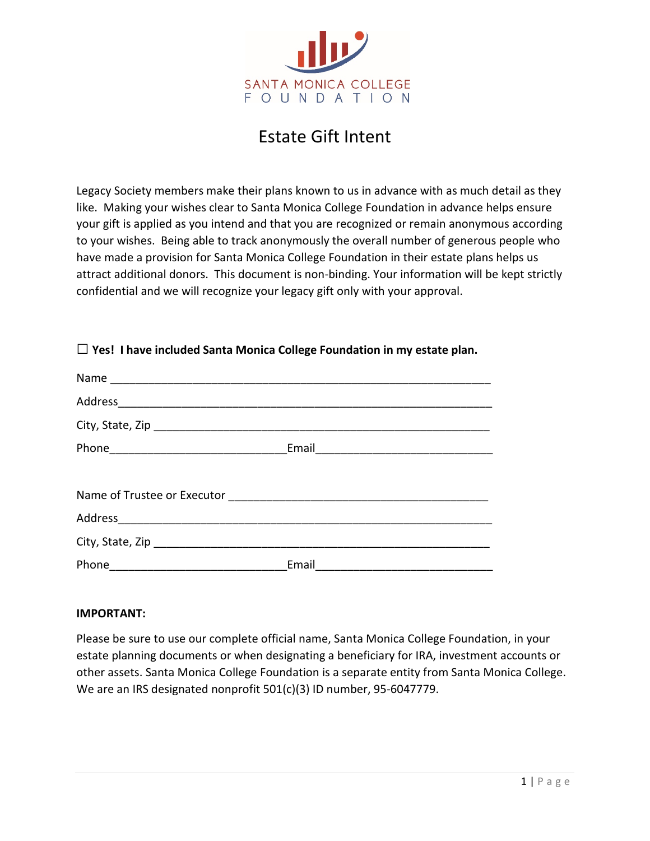

# Estate Gift Intent

Legacy Society members make their plans known to us in advance with as much detail as they like. Making your wishes clear to Santa Monica College Foundation in advance helps ensure your gift is applied as you intend and that you are recognized or remain anonymous according to your wishes. Being able to track anonymously the overall number of generous people who have made a provision for Santa Monica College Foundation in their estate plans helps us attract additional donors. This document is non-binding. Your information will be kept strictly confidential and we will recognize your legacy gift only with your approval.

| Email |
|-------|

## **□Yes! I have included Santa Monica College Foundation in my estate plan.**

### **IMPORTANT:**

Please be sure to use our complete official name, Santa Monica College Foundation, in your estate planning documents or when designating a beneficiary for IRA, investment accounts or other assets. Santa Monica College Foundation is a separate entity from Santa Monica College. We are an IRS designated nonprofit 501(c)(3) ID number, 95-6047779.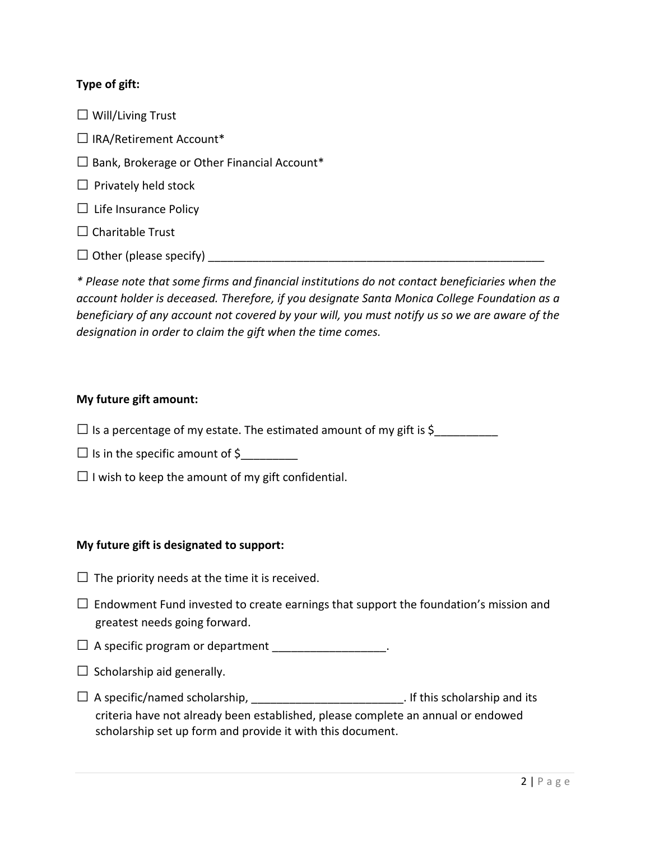## **Type of gift:**

 $\square$  Will/Living Trust  $\Box$  IRA/Retirement Account\*  $\square$  Bank, Brokerage or Other Financial Account\*  $\Box$  Privately held stock  $\Box$  Life Insurance Policy  $\Box$  Charitable Trust  $\Box$  Other (please specify)

*\* Please note that some firms and financial institutions do not contact beneficiaries when the account holder is deceased. Therefore, if you designate Santa Monica College Foundation as a beneficiary of any account not covered by your will, you must notify us so we are aware of the designation in order to claim the gift when the time comes.*

#### **My future gift amount:**

 $\square$  Is a percentage of my estate. The estimated amount of my gift is \$

 $\square$  Is in the specific amount of \$

 $\Box$  I wish to keep the amount of my gift confidential.

#### **My future gift is designated to support:**

- $\square$  The priority needs at the time it is received.
- $\square$  Endowment Fund invested to create earnings that support the foundation's mission and greatest needs going forward.
- $\Box$  A specific program or department  $\Box$
- $\Box$  Scholarship aid generally.
- $\square$  A specific/named scholarship, \_\_\_\_\_\_\_\_\_\_\_\_\_\_\_\_\_\_\_\_\_\_\_\_\_. If this scholarship and its criteria have not already been established, please complete an annual or endowed scholarship set up form and provide it with this document.